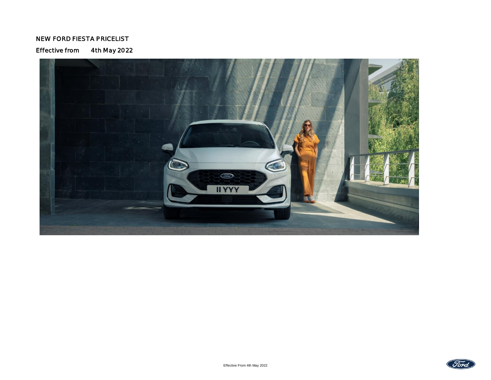## NEW FORD FIESTA PRICELIST

Effective from 4th May 2022



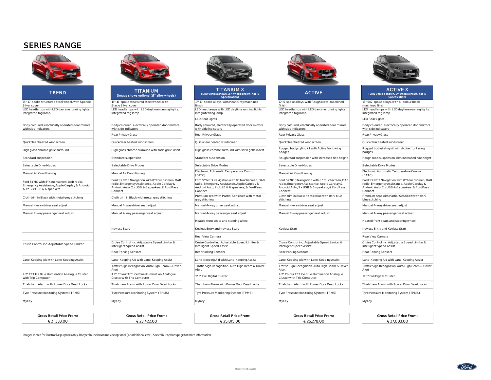## SERIES RANGE



| 15" 10-spoke structured steel wheel, with                                                                                                                    | 17" 10-spoke alloys, with Pearl Grey machined                                                                                                                | 17" 5-spoke alloys, with Rough Metal machined                                                                                                                | 18" 5x2-spoke alloys, with bi-colour Black                                                                                                                   |
|--------------------------------------------------------------------------------------------------------------------------------------------------------------|--------------------------------------------------------------------------------------------------------------------------------------------------------------|--------------------------------------------------------------------------------------------------------------------------------------------------------------|--------------------------------------------------------------------------------------------------------------------------------------------------------------|
| Black/Silver cover                                                                                                                                           | finish                                                                                                                                                       | finish                                                                                                                                                       | machined finish                                                                                                                                              |
| LED headlamps with LED daytime running lights.<br>Integrated fog lamp                                                                                        | LED headlamps with LED daytime running lights.<br>Integrated fog lamp                                                                                        | LED headlamps with LED daytime running lights.<br>Integrated fog lamp                                                                                        | LED headlamps with LED daytime running lights.<br>Integrated fog lamp                                                                                        |
|                                                                                                                                                              | <b>LED Rear Lights</b>                                                                                                                                       |                                                                                                                                                              | <b>LED Rear Lights</b>                                                                                                                                       |
| Body coloured, electrically operated door mirrors<br>with side indicators                                                                                    | Body coloured, electrically operated door mirrors<br>with side indicators                                                                                    | Body coloured, electrically operated door mirrors<br>with side indicators                                                                                    | Body coloured, electrically operated door mirrors<br>with side indicators                                                                                    |
| Rear Privacy Glass                                                                                                                                           | Rear Privacy Glass                                                                                                                                           | Rear Privacy Glass                                                                                                                                           | Rear Privacy Glass                                                                                                                                           |
| Quickclear heated windscreen                                                                                                                                 | Quickclear heated windscreen                                                                                                                                 | Quickclear heated windscreen                                                                                                                                 | Quickclear heated windscreen                                                                                                                                 |
| High gloss chrome surround with satin grille insert                                                                                                          | High gloss chrome surround with satin grille insert                                                                                                          | Rugged bodystyling kit with Active front wing<br>badges                                                                                                      | Rugged bodystyling kit with Active front wing<br>badges                                                                                                      |
| Standard suspension                                                                                                                                          | Standard suspension                                                                                                                                          | Rough road suspension with increased ride height                                                                                                             | Rough road suspension with increased ride height                                                                                                             |
| Selectable Drive Modes                                                                                                                                       | Selectable Drive Modes                                                                                                                                       | Selectable Drive Modes                                                                                                                                       | Selectable Drive Modes                                                                                                                                       |
| Manual Air Conditioning                                                                                                                                      | Electronic Automatic Temperature Control<br>(EATC)                                                                                                           | Manual Air Conditioning                                                                                                                                      | Electronic Automatic Temperature Control<br>(EATC)                                                                                                           |
| Ford SYNC 3 Navigation with 8" touchscreen, DAB<br>radio, Emergency Assistance, Apple Carplay &<br>Android Auto, 2 x USB & 6 speakers, & FordPass<br>Connect | Ford SYNC 3 Navigation with 8" touchscreen, DAB<br>radio, Emergency Assistance, Apple Carplay &<br>Android Auto, 2 x USB & 6 speakers, & FordPass<br>Connect | Ford SYNC 3 Navigation with 8" touchscreen, DAB<br>radio, Emergency Assistance, Apple Carplay &<br>Android Auto, 2 x USB & 6 speakers, & FordPass<br>Connect | Ford SYNC 3 Navigation with 8" touchscreen, DAI<br>radio, Emergency Assistance, Apple Carplay &<br>Android Auto, 2 x USB & 6 speakers, & FordPass<br>Connect |
| Cloth trim in Black with metal grey stitching                                                                                                                | Premium seat with Partial Sensico® with metal<br>grey stitching                                                                                              | Cloth trim in Black/Nordic Blue with dark blue<br>stitching                                                                                                  | Premium seat with Partial Sensico® with dark<br>blue stitching                                                                                               |
| Manual 4-way driver seat adjust                                                                                                                              | Manual 4-way driver seat adjust                                                                                                                              | Manual 4-way driver seat adjust                                                                                                                              | Manual 4-way driver seat adjust                                                                                                                              |
| Manual 2-way passenger seat adjust                                                                                                                           | Manual 4-way passenger seat adjust                                                                                                                           | Manual 2-way passenger seat adjust                                                                                                                           | Manual 4-way passenger seat adjust                                                                                                                           |
|                                                                                                                                                              | Heated front seats and steering wheel                                                                                                                        |                                                                                                                                                              | Heated front seats and steering wheel                                                                                                                        |
| Keyless Start                                                                                                                                                | Keyless Entry and Keyless Start                                                                                                                              | Keyless Start                                                                                                                                                | Keyless Entry and Keyless Start                                                                                                                              |
|                                                                                                                                                              | Rear View Camera                                                                                                                                             |                                                                                                                                                              | Rear View Camera                                                                                                                                             |
| Cruise Control inc. Adjustable Speed Limiter &<br>Intelligent Speed Assist                                                                                   | Cruise Control inc. Adjustable Speed Limiter &<br>Intelligent Speed Assist                                                                                   | Cruise Control inc. Adjustable Speed Limiter &<br>Intelligent Speed Assist                                                                                   | Cruise Control inc. Adjustable Speed Limiter &<br>Intelligent Speed Assist                                                                                   |
| Rear Parking Sensors                                                                                                                                         | Rear Parking Sensors                                                                                                                                         | Rear Parking Sensors                                                                                                                                         | Rear Parking Sensors                                                                                                                                         |
| Lane-Keeping Aid with Lane-Keeping Assist                                                                                                                    | Lane-Keeping Aid with Lane-Keeping Assist                                                                                                                    | Lane-Keeping Aid with Lane-Keeping Assist                                                                                                                    | Lane-Keeping Aid with Lane-Keeping Assist                                                                                                                    |
| Traffic Sign Recognition, Auto High Beam & Driver<br>Alert                                                                                                   | Traffic Sign Recognition, Auto High Beam & Driver<br>Alert                                                                                                   | Traffic Sign Recognition, Auto High Beam & Driver<br>Alert                                                                                                   | Traffic Sign Recognition, Auto High Beam & Driver<br>Alert                                                                                                   |
| 4.2" Colour TFT Ice Blue illumination Analogue<br>Cluster with Trip Computer                                                                                 | 12.3" Full Digital Cluster                                                                                                                                   | 4.2" Colour TFT Ice Blue illumination Analogue<br>Cluster with Trip Computer                                                                                 | 12.3" Full Digital Cluster                                                                                                                                   |
| Thatcham Alarm with Power Door Dead Locks                                                                                                                    | Thatcham Alarm with Power Door Dead Locks                                                                                                                    | Thatcham Alarm with Power Door Dead Locks                                                                                                                    | Thatcham Alarm with Power Door Dead Locks                                                                                                                    |
| Tyre Pressure Monitoring System (TPMS)                                                                                                                       | Tyre Pressure Monitoring System (TPMS)                                                                                                                       | Tyre Pressure Monitoring System (TPMS)                                                                                                                       | Tyre Pressure Monitoring System (TPMS)                                                                                                                       |
| MyKey                                                                                                                                                        | MyKey                                                                                                                                                        | MyKey                                                                                                                                                        | MyKey                                                                                                                                                        |
|                                                                                                                                                              |                                                                                                                                                              |                                                                                                                                                              |                                                                                                                                                              |





### TITANIUM X (LHD Vehicle shown, 15" wheels shown, not IE Specification)



| 15" 10-spoke structured steel wheel, with<br>Black/Silver cover                                                                                              | 17" 10-spoke alloys, with Pearl Grey machined<br>finish                                                                                                      | 17" 5-spoke alloys, with Rough Metal machined<br>finish                                                                                                      | 18" 5x2-spoke alloys, w<br>machined finish                                            |
|--------------------------------------------------------------------------------------------------------------------------------------------------------------|--------------------------------------------------------------------------------------------------------------------------------------------------------------|--------------------------------------------------------------------------------------------------------------------------------------------------------------|---------------------------------------------------------------------------------------|
| LED headlamps with LED daytime running lights.<br>Integrated fog lamp                                                                                        | LED headlamps with LED daytime running lights.<br>Integrated fog lamp                                                                                        | LED headlamps with LED daytime running lights.<br>Integrated fog lamp                                                                                        | LED headlamps with LE<br>Integrated fog lamp                                          |
|                                                                                                                                                              | <b>LED Rear Lights</b>                                                                                                                                       |                                                                                                                                                              | <b>LED Rear Lights</b>                                                                |
| Body coloured, electrically operated door mirrors<br>with side indicators                                                                                    | Body coloured, electrically operated door mirrors<br>with side indicators                                                                                    | Body coloured, electrically operated door mirrors<br>with side indicators                                                                                    | Body coloured, electrica<br>with side indicators                                      |
| Rear Privacy Glass                                                                                                                                           | Rear Privacy Glass                                                                                                                                           | Rear Privacy Glass                                                                                                                                           | Rear Privacy Glass                                                                    |
| Quickclear heated windscreen                                                                                                                                 | Quickclear heated windscreen                                                                                                                                 | Quickclear heated windscreen                                                                                                                                 | Quickclear heated wind                                                                |
| High gloss chrome surround with satin grille insert                                                                                                          | High gloss chrome surround with satin grille insert                                                                                                          | Rugged bodystyling kit with Active front wing<br>badges                                                                                                      | Rugged bodystyling kit<br>badges                                                      |
| Standard suspension                                                                                                                                          | Standard suspension                                                                                                                                          | Rough road suspension with increased ride height                                                                                                             | Rough road suspension                                                                 |
| Selectable Drive Modes                                                                                                                                       | Selectable Drive Modes                                                                                                                                       | Selectable Drive Modes                                                                                                                                       | Selectable Drive Mode:                                                                |
| Manual Air Conditioning                                                                                                                                      | Electronic Automatic Temperature Control<br>(EATC)                                                                                                           | Manual Air Conditioning                                                                                                                                      | Electronic Automatic T<br>(EATC)                                                      |
| Ford SYNC 3 Navigation with 8" touchscreen, DAB<br>radio, Emergency Assistance, Apple Carplay &<br>Android Auto, 2 x USB & 6 speakers, & FordPass<br>Connect | Ford SYNC 3 Navigation with 8" touchscreen, DAB<br>radio, Emergency Assistance, Apple Carplay &<br>Android Auto, 2 x USB & 6 speakers, & FordPass<br>Connect | Ford SYNC 3 Navigation with 8" touchscreen, DAB<br>radio, Emergency Assistance, Apple Carplay &<br>Android Auto, 2 x USB & 6 speakers, & FordPass<br>Connect | Ford SYNC 3 Navigatio<br>radio, Emergency Assis<br>Android Auto, 2 x USB 8<br>Connect |
| Cloth trim in Black with metal grey stitching                                                                                                                | Premium seat with Partial Sensico® with metal<br>grey stitching                                                                                              | Cloth trim in Black/Nordic Blue with dark blue<br>stitching                                                                                                  | Premium seat with Par<br>blue stitching                                               |
| Manual 4-way driver seat adjust                                                                                                                              | Manual 4-way driver seat adjust                                                                                                                              | Manual 4-way driver seat adjust                                                                                                                              | Manual 4-way driver se                                                                |
| Manual 2-way passenger seat adjust                                                                                                                           | Manual 4-way passenger seat adjust                                                                                                                           | Manual 2-way passenger seat adjust                                                                                                                           | Manual 4-way passeno                                                                  |
|                                                                                                                                                              | Heated front seats and steering wheel                                                                                                                        |                                                                                                                                                              | Heated front seats and                                                                |
| Keyless Start                                                                                                                                                | Keyless Entry and Keyless Start                                                                                                                              | Keyless Start                                                                                                                                                | Keyless Entry and Keyle                                                               |
|                                                                                                                                                              | Rear View Camera                                                                                                                                             |                                                                                                                                                              | Rear View Camera                                                                      |
| Cruise Control inc. Adjustable Speed Limiter &<br>Intelligent Speed Assist                                                                                   | Cruise Control inc. Adjustable Speed Limiter &<br>Intelligent Speed Assist                                                                                   | Cruise Control inc. Adjustable Speed Limiter &<br>Intelligent Speed Assist                                                                                   | Cruise Control inc. Adju<br>Intelligent Speed Assis                                   |
| Rear Parking Sensors                                                                                                                                         | Rear Parking Sensors                                                                                                                                         | Rear Parking Sensors                                                                                                                                         | Rear Parking Sensors                                                                  |
| Lane-Keeping Aid with Lane-Keeping Assist                                                                                                                    | Lane-Keeping Aid with Lane-Keeping Assist                                                                                                                    | Lane-Keeping Aid with Lane-Keeping Assist                                                                                                                    | Lane-Keeping Aid with                                                                 |
| Traffic Sign Recognition, Auto High Beam & Driver<br>Alert                                                                                                   | Traffic Sign Recognition, Auto High Beam & Driver<br>Alert                                                                                                   | Traffic Sign Recognition, Auto High Beam & Driver<br>Alert                                                                                                   | <b>Traffic Sign Recognition</b><br>Alert                                              |
| 4.2" Colour TFT Ice Blue illumination Analogue<br>Cluster with Trip Computer                                                                                 | 12.3" Full Digital Cluster                                                                                                                                   | 4.2" Colour TFT Ice Blue illumination Analogue<br>Cluster with Trip Computer                                                                                 | 12.3" Full Digital Cluster                                                            |
| Thatcham Alarm with Power Door Dead Locks                                                                                                                    | Thatcham Alarm with Power Door Dead Locks                                                                                                                    | Thatcham Alarm with Power Door Dead Locks                                                                                                                    | Thatcham Alarm with F                                                                 |
| Tyre Pressure Monitoring System (TPMS)                                                                                                                       | Tyre Pressure Monitoring System (TPMS)                                                                                                                       | Tyre Pressure Monitoring System (TPMS)                                                                                                                       | <b>Tyre Pressure Monitorir</b>                                                        |
|                                                                                                                                                              |                                                                                                                                                              |                                                                                                                                                              |                                                                                       |



# ACTIVE X<br>ACTIVE (LHD Vehicle shown, 17" wheels shown, not IE<br>Specification)

| 18" 5x2-spoke alloys, with bi-colour Black<br>machined finish                                                                                                |
|--------------------------------------------------------------------------------------------------------------------------------------------------------------|
| LED headlamps with LED daytime running lights.<br>Integrated fog lamp                                                                                        |
| <b>LED Rear Lights</b>                                                                                                                                       |
| Body coloured, electrically operated door mirrors<br>with side indicators                                                                                    |
| Rear Privacy Glass                                                                                                                                           |
| Quickclear heated windscreen                                                                                                                                 |
| Rugged bodystyling kit with Active front wing<br>badges                                                                                                      |
| Rough road suspension with increased ride height                                                                                                             |
| Selectable Drive Modes                                                                                                                                       |
| Electronic Automatic Temperature Control<br>(EATC)                                                                                                           |
| Ford SYNC 3 Navigation with 8" touchscreen, DAB<br>radio, Emergency Assistance, Apple Carplay &<br>Android Auto, 2 x USB & 6 speakers, & FordPass<br>Connect |
| Premium seat with Partial Sensico® with dark<br>blue stitching                                                                                               |
| Manual 4-way driver seat adjust                                                                                                                              |
| Manual 4-way passenger seat adjust                                                                                                                           |
| Heated front seats and steering wheel                                                                                                                        |
| Keyless Entry and Keyless Start                                                                                                                              |
| Rear View Camera                                                                                                                                             |
| Cruise Control inc. Adjustable Speed Limiter &<br>Intelligent Speed Assist                                                                                   |
| Rear Parking Sensors                                                                                                                                         |
| Lane-Keeping Aid with Lane-Keeping Assist                                                                                                                    |
| Traffic Sign Recognition, Auto High Beam & Driver<br>Alert                                                                                                   |
| 12.3" Full Digital Cluster                                                                                                                                   |
| Thatcham Alarm with Power Door Dead Locks                                                                                                                    |
| Tyre Pressure Monitoring System (TPMS)                                                                                                                       |
|                                                                                                                                                              |

€ 27,603.00

€ 21,333.00

Gross Retail Price From: Gross Retail Price From: Gross Retail Price From: Gross Retail Price From: Gross Retail Price From: Gross Retail Price From: Gross Retail Price From: Gross Retail Price From: Gross Retail Price Fro € 23,422.00

€ 25,815.00

€ 25,278.00



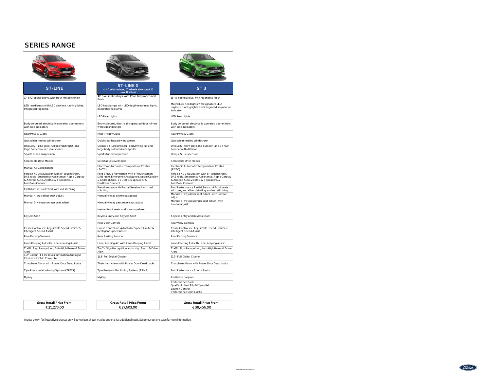## SERIES RANGE



| 17" 5x2-spoke alloys, with Rock Metallic finish                                                                                                                     | 18" 5x2-spoke alloys, with Pearl Grey machined<br>finish                                                                                                     | 18" 5-spoke alloys,                                                              |
|---------------------------------------------------------------------------------------------------------------------------------------------------------------------|--------------------------------------------------------------------------------------------------------------------------------------------------------------|----------------------------------------------------------------------------------|
| LED headlamps with LED daytime running lights.<br>Integrated fog lamp                                                                                               | LED headlamps with LED daytime running lights.<br>Integrated fog lamp                                                                                        | Matrix LED headlig<br>daytime running lic<br>indicator                           |
|                                                                                                                                                                     | <b>LED Rear Lights</b>                                                                                                                                       | LED Rear Lights                                                                  |
| Body coloured, electrically operated door mirrors<br>with side indicators                                                                                           | Body coloured, electrically operated door mirrors<br>with side indicators                                                                                    | Body coloured, ele<br>with side indicator                                        |
| Rear Privacy Glass                                                                                                                                                  | Rear Privacy Glass                                                                                                                                           | Rear Privacy Glass                                                               |
| Quickclear heated windscreen                                                                                                                                        | Quickclear heated windscreen                                                                                                                                 | Quickclear heated                                                                |
| Unique ST-Line grille, full bodystyling kit, and<br>large body coloured rear spoiler                                                                                | Unique ST-Line grille, full bodystyling kit, and<br>large body coloured rear spoiler                                                                         | Unique ST front gri<br>bumper with diffus                                        |
| Sports tuned suspension                                                                                                                                             | Sports tuned suspension                                                                                                                                      | Unique ST suspen:                                                                |
| Selectable Drive Modes                                                                                                                                              | Selectable Drive Modes                                                                                                                                       | Selectable Drive M                                                               |
| Manual Air Conditioning                                                                                                                                             | Electronic Automatic Temperature Control<br>(EATC)                                                                                                           | Electronic Automa<br>(EATC)                                                      |
| Ford SYNC 3 Navigation with 8" touchscreen,<br>DAB radio, Emergency Assistance, Apple Carplay<br>& Android Auto, 2 x USB & 6 speakers, &<br><b>FordPass Connect</b> | Ford SYNC 3 Navigation with 8" touchscreen,<br>DAB radio, Emergency Assistance, Apple Carplay<br>& Android Auto, 2 x USB & 6 speakers, &<br>FordPass Connect | Ford SYNC 3 Navid<br>DAB radio, Emerge<br>& Android Auto, 2:<br>FordPass Connect |
| Cloth trim in Black/Red with red stitching                                                                                                                          | Premium seat with Partial Sensico® with red<br>stitching                                                                                                     | Ford Performance<br>with grey and silve                                          |
| Manual 4-way driver seat adjust                                                                                                                                     | Manual 4-way driver seat adjust                                                                                                                              | Manual 6-way driv<br>adjust                                                      |
| Manual 2-way passenger seat adjust                                                                                                                                  | Manual 4-way passenger seat adjust                                                                                                                           | Manual 6-way pas<br>lumbar adjust                                                |
|                                                                                                                                                                     | Heated front seats and steering wheel                                                                                                                        |                                                                                  |
| Keyless Start                                                                                                                                                       | Keyless Entry and Keyless Start                                                                                                                              | Keyless Entry and                                                                |
|                                                                                                                                                                     | Rear View Camera                                                                                                                                             | Rear View Camera                                                                 |
| Cruise Control inc. Adjustable Speed Limiter &<br>Intelligent Speed Assist                                                                                          | Cruise Control inc. Adjustable Speed Limiter &<br>Intelligent Speed Assist                                                                                   | Cruise Control inc.<br>Intelligent Speed A                                       |
| Rear Parking Sensors                                                                                                                                                | Rear Parking Sensors                                                                                                                                         | Rear Parking Sens                                                                |
| Lane-Keeping Aid with Lane-Keeping Assist                                                                                                                           | Lane-Keeping Aid with Lane-Keeping Assist                                                                                                                    | Lane-Keeping Aid                                                                 |
| Traffic Sign Recognition, Auto High Beam & Driver<br>Alert                                                                                                          | Traffic Sign Recognition, Auto High Beam & Driver<br>Alert                                                                                                   | Traffic Sign Recog<br>Alert                                                      |
| 4.2" Colour TFT Ice Blue illumination Analoque<br>Cluster with Trip Computer                                                                                        | 12.3" Full Digital Cluster                                                                                                                                   | 12.3" Full Digital CI                                                            |
| Thatcham Alarm with Power Door Dead Locks                                                                                                                           | Thatcham Alarm with Power Door Dead Locks                                                                                                                    | Thatcham Alarm y                                                                 |
| Tyre Pressure Monitoring System (TPMS)                                                                                                                              | Tyre Pressure Monitoring System (TPMS)                                                                                                                       | Ford Performance                                                                 |
| MyKey                                                                                                                                                               | MyKey                                                                                                                                                        | Red brake calipers                                                               |

€ 25,278.00



#### ST-LINE X<br>
CHD vehicle show, 17" wheels s (LHD vehicle show, 17" wheels shown, not IE specificaiton) 18" 5x2-spoke alloys, with Pearl Grey machined finish LED headlamps with LED daytime running lights. Integrated fog lamp LED Rear Lights LED Rear Lights Body coloured, electrically operated door mirrors with side indicators Rear Privacy Glass Rear Privacy Glass Rear Privacy Glass Quickclear heated windscreen Quickclear heated windscreen Quickclear heated windscreen Unique ST-Line grille, full bodystyling kit, and large body coloured rear spoiler Sports tuned suspension Sports tuned suspension Selectable Drive Modes Selectable Drive Modes Electronic Automatic Temperature Control (EATC) Ford SYNC 3 Navigation with 8'' touchscreen, DAB radio, Emergency Assistance, Apple Carplay & Android Auto, 2 x USB & 6 speakers, & FordPass Connect Premium seat with Partial Sensico® with red stitching Manual 4-way driver seat adjust Manual 4-way passenger seat adjust Heated front seats and steering wheel Keyless Entry and Keyless Start Keyless Entry and Keyless Start Rear View Camera **Rear View Camera** Rear View Camera

# Cruise Control inc. Adjustable Speed Limiter & Intelligent Speed Assist Rear Parking Sensors Rear Parking Sensors Rear Parking Sensors Lane-Keeping Aid with Lane-Keeping Assist Lane-Keeping Aid with Lane-Keeping Assist Lane-Keeping Aid with Lane-Keeping Assist Traffic Sign Recognition, Auto High Beam & Driver 12.3" Full Digital Cluster 2.3" Full Digital Cluster

€ 27,603.00

### ST 3

18" 5-spoke alloys, with Magnetite finish Matrix LED headlights with signature LED daytime running lights and integrated sequential indicator Body coloured, electrically operated door mirrors with side indicators Unique ST front grille and bumper, and ST rear bumper with diffusor Electronic Automatic Temperatiure Control (EATC) Ford SYNC 3 Navigation with 8'' touchscreen, DAB radio, Emergency Assistance, Apple Carplay & Android Auto, 2 x USB & 6 speakers, & FordPass Connect Ford Performance Partial Sensico® front seats with grey and silver detailing, and red stitching<br>Manual 6-way driver seat adjust, with lumbar adjust<br>adjust<br>Manual 6-way passenger seat adjust, with lumbar adjust Cruise Control inc. Adjustable Speed Limiter & Intelligent Speed Assist Traffic Sign Recognition, Auto High Beam & Driver Alert Thatcham Alarm with Power Door Dead Locks Thatcham Alarm with Power Door Dead Locks Tyre Pressure Monitoring System (TPMS) Ford Performance Sports Seats Performance Pack: Quaife Limited Slip Differential Launch Control

Gross Retail Price From: Gross Retail Price From: Gross Retail Price From: €38,456.00

Performance Shift Lights

Images shown for illustrative purposes only. Body colours shown may be optional (at additional cost). See colour options page for more information.

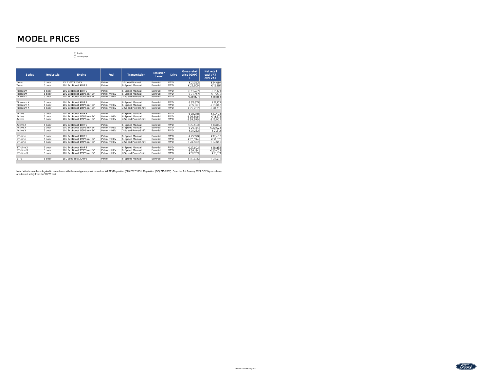# MODEL PRICES

English 2nd Language

| <b>Bodystyle</b> | Engine                   | Fuel        | Transmission              | Emission<br>Level                    | <b>Drive</b> | <b>Gross retail</b><br>price (GRP) | <b>Net retail</b><br>excl VRT<br>excl VAT |
|------------------|--------------------------|-------------|---------------------------|--------------------------------------|--------------|------------------------------------|-------------------------------------------|
| 5 door           | 111 Ti-VCT 75PS          | Petrol      | 5 Speed Manual            | Euro 6d                              | <b>FWD</b>   |                                    | €14.667                                   |
| 5 door           | 1.OL EcoBoost 100PS      | Petrol      | 6-Speed Manual            | Euro 6d                              | <b>FWD</b>   | € 22,209                           | € 15.287                                  |
| 5 door           | 1.OL EcoBoost 100PS      | Petrol      | 6-Speed Manual            | Euro 6d                              | <b>FWD</b>   | € 23.422                           | € 16,123                                  |
| 5 door           | 1.OL EcoBoost 125PS mHEV |             | 6-Speed Manual            | Euro 6d                              | <b>FWD</b>   |                                    | € 17.293                                  |
| 5 door           | 1.0L EcoBoost 125PS mHEV | Petrol mHEV |                           | Euro 6d                              |              |                                    | €18.583                                   |
| 5 door           | 1.OL EcoBoost 100PS      | Petrol      | 6-Speed Manual            | Euro 6d                              | <b>FWD</b>   | € 25.815                           | € 17.773                                  |
| 5 door           | 1.OL EcoBoost 125PS mHEV | Petrol mHEV | 6-Speed Manual            | Euro 6d                              | <b>FWD</b>   | € 27,122                           | €18.943                                   |
| 5 door           | 1.OL EcoBoost 125PS mHEV | Petrol mHEV | 7-Speed PowerShift        | Euro 6d                              | <b>FWD</b>   | € 29.202                           | € 20,233                                  |
| 5 door           | 1.0L EcoBoost 100PS      | Petrol      | 6-Speed Manual            | Euro 6d                              | <b>FWD</b>   | € 25.278                           | € 17.403                                  |
| 5 door           | 1.0L EcoBoost 125PS mHEV | Petrol mHEV | 6-Speed Manual            | Euro 6d                              | <b>FWD</b>   | € 26.806                           | €18.573                                   |
| 5 door           | 1.OL EcoBoost 125PS mHEV | Petrol mHEV | <b>7-Speed PowerShift</b> | Euro 6d                              | <b>FWD</b>   | €28.899                            | €19.863                                   |
| 5 door           | 1.0L EcoBoost 100PS      | Petrol      |                           |                                      | <b>FWD</b>   | € 27.603                           | €18.853                                   |
| 5 door           | 1.OL EcoBoost 125PS mHEV | Petrol mHFV | 6-Speed Manual            | Euro 6d                              | <b>FWD</b>   | € 29.124                           | € 20.023                                  |
| 5 door           | 1.OL EcoBoost 125PS mHEV | Petrol mHEV | 7-Speed PowerShift        | Euro 6d                              | <b>FWD</b>   | € 31.253                           | € 21.313                                  |
| 5 door           | 1.OL EcoBoost 100PS      | Petrol      | 6-Speed Manual            | Euro 6d                              | <b>FWD</b>   | € 25.278                           | € 17.403                                  |
| 5 door           | 1.OL EcoBoost 125PS mHEV | Petrol mHEV | 6-Speed Manual            | Euro 6d                              | <b>FWD</b>   | € 26.594                           | €18.573                                   |
| 5 door           | 1.OL EcoBoost 125PS mHEV | Petrol mHEV | 7-Speed PowerShift        | Euro 6d                              | <b>FWD</b>   | € 28.669                           | €19.863                                   |
| 5 door           | 1.0L EcoBoost 100PS      | Petrol      | 6-Speed Manual            | Euro 6d                              | <b>FWD</b>   | € 27,603                           | €18.853                                   |
| 5 door           | 1.OL EcoBoost 125PS mHEV | Petrol mHEV | 6-Speed Manual            | Euro 6d                              | <b>FWD</b>   | € 29,124                           | € 20.023                                  |
| 5 door           | 1.OL EcoBoost 125PS mHEV | Petrol mHEV | 7-Speed PowerShift        | Euro 6d                              | <b>FWD</b>   | € 31,253                           | € 21.313                                  |
| 5 door           | 1.5L EcoBoost 200PS      | Petrol      | 6-Speed Manual            | Euro 6d                              | <b>FWD</b>   | € 38.456                           | € 23.433                                  |
|                  |                          |             | Petrol mHEV               | 7-Speed PowerShift<br>6-Speed Manual | Euro 6d      | <b>FWD</b>                         | € 21,333<br>€ 24.767<br>€ 26.827          |

Note: Vehicles are homologated in accordance with the new type approval procedure WLTP (Regulation (EU) 2017/1151; Regulation (EC) 715/2007). From the 1st January 2021 CO2 figures shown<br>are derived solely from the WLTP tes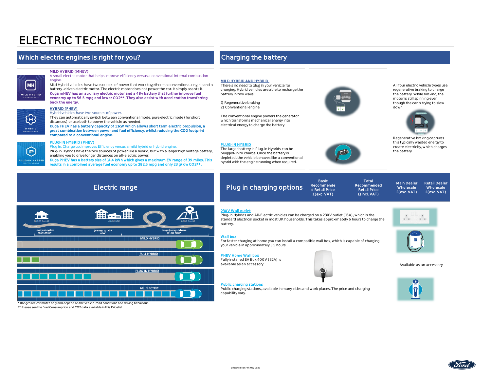# ELECTRIC TECHNOLOGY

## Which electric engines is right for you? Charging the battery

### MILD HYBRID (MHEV)

engine

**MH MILD HYBRID** 

> 5 HYBRID

## A small electric motor that helps improve efficiency versus a conventional internal combustion

Mild Hybrid vehicles have two sources of power that work together - a conventional engine and a battery -driven electric motor. The electric motor does not power the car. It simply assists it. Kuga mHEV has an auxiliary electric motor and a 48v battery that further improve fuel economy up to 56.5 mpg and lower CO2\*\*. They also assist with acceleration transferring back the energy.

#### HYBRID (FHEV)

#### Hybrid vehicles have two sources of power.

They can automatically switch between conventional mode, pure electric mode (for short distances) or use both to power the vehicle as needed.

Kuga FHEV has a battery capacity of 1.1kW which allows short term electric propulsion, a great combination between power and fuel efficiency, whilst reducing the CO2 footprint compared to a conventional engine.

# 回 LUG-IN HYBRID

### PLUG-IN HYBRID (PHEV)

In. Charge up. Improves Efficiency versus a mild hybrid or hybrid engine. Plug-in Hybrids have the two sources of power like a hybrid, but with a larger high voltage battery, enabling you to drive longer distances on all-electric power. Kuga PHEV has a battery size of 14.4 kWh which gives a maximum EV range of 39 miles. This results in a combined average fuel economy up to 282.5 mpg and only 23 g/km CO2\*\*.

#### MILD HYBRID AND HYBRID

There's no need to plug in your vehicle for charging. Hybrid vehicles are able to recharge the battery in two ways:

1) Regenerative braking 2) Conventional engine

The conventional engine powers the generator which transforms mechanical energy into electrical energy to charge the battery.

#### PLUG-IN HYBRID

The larger battery in Plug-in Hybrids can be plugged-in to charge. Once the battery is depleted, the vehicle behaves like a conventional hybrid with the engine running when required.



Total Recommended Retail Price £(incl. VAT)

All four electric vehicle types use regenerative braking to charge the battery. While braking, the motor is still spinning even though the car is trying to slow down.



Regenerative braking captures this typically wasted energy to create electricity, which charges the battery.

> Retail Dealer Wholesale £(exc. VAT)

# Electric range Plug in charging options



230V Wall outlet

Plug-in Hybrids and All-Electric vehicles can be charged on a 230V outlet (16A), which is the standard electrical socket in most UK households. This takes approximately 6 hours to charge the battery.

Basic Recommende d Retail Price £(exc. VAT)

#### Wall box

For faster charging at home you can install a compatible wall box, which is capable of charging your vehicle in approximately 3.5 hours.

#### **PHEV Home Wall box**

Fully installed EV Box 400V (32A) is available as an accessory. Available as an accessory

#### Public charging stations

Public charging stations, available in many cities and work places. The price and charging capability vary.



Main Dealer **Wholesale** £(exc. VAT)



 $|\bar{\pmb{\eta}}|$ 

\* Ranges are estimates only and depend on the vehicle, road conditions and driving behaviour.

\*\* Please see the Fuel Consumption and CO2 data available in this Pricelist

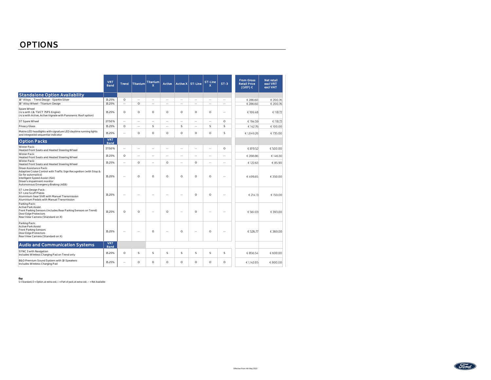|                                                                                                                                                                                                                            | <b>VRT</b><br>Band        | <b>Trend</b> | <b>Titanium</b> | <b>Titanium</b><br>$\mathsf{x}$ | Active  | Active X ST-Line         |         | ST-Line<br>$\mathbf{x}$ | $ST-3$  | <b>From Gross</b><br><b>Retail Price</b><br>$(GRP) \in$ | <b>Net retail</b><br>excl VRT<br>excl VAT |
|----------------------------------------------------------------------------------------------------------------------------------------------------------------------------------------------------------------------------|---------------------------|--------------|-----------------|---------------------------------|---------|--------------------------|---------|-------------------------|---------|---------------------------------------------------------|-------------------------------------------|
| <b>Standalone Option Availability</b>                                                                                                                                                                                      |                           |              |                 |                                 |         |                          |         |                         |         |                                                         |                                           |
| 16" Alloys - Trend Design - Sparkle Silver                                                                                                                                                                                 | 15.25%                    | $\circ$      | ш.              | <b>Section</b>                  | ш.      | ÷.                       | ш.      | ш.                      | $\sim$  | € 286.60                                                | € 200.76                                  |
| 16" Alloy Wheel - Titanium Design                                                                                                                                                                                          | 15.25%                    | $\sim$       | $\circ$         | $\sim$                          | ш.      | à.                       | ш.      | a.                      | ш.      | € 286.60                                                | € 200.76                                  |
| Spare Wheel<br>(n/a with 1.1L TiVCT 75PS Engine)<br>(n/a with Active, Active Vignale with Panoramic Roof option)                                                                                                           | 15.25%                    | $\circ$      | $\circ$         | $\circ$                         | $\circ$ | $\circ$                  | $\circ$ | Ō                       | $\sim$  | €169.48                                                 | € 118.72                                  |
| ST Spare Wheel                                                                                                                                                                                                             | 27.50%                    | $\sim$       | $\sim$          | $\sim$                          | $\sim$  | u.                       | ω.      | $\sim$                  | $\circ$ | €194.59                                                 | € 118.72                                  |
| Privacy Glass                                                                                                                                                                                                              | 15.25%                    | $\circ$      | ш.              | s                               | à.      | S                        | à.      | s                       | s       | €142.76                                                 | €100.00                                   |
| Matrix LED headlights with signature LED daytime running lights<br>and integrated sequential indicator                                                                                                                     | 15.25%                    | $\sim$       | $\circ$         | $\circ$                         | $\circ$ | $\circ$                  | $\circ$ | $\circ$                 | s       | €1,049.26                                               | €735.00                                   |
| <b>Option Packs</b>                                                                                                                                                                                                        | <b>VRT</b><br><b>Band</b> |              |                 |                                 |         |                          |         |                         |         |                                                         |                                           |
| Winter Pack:<br>Heated Front Seats and Heated Steering Wheel                                                                                                                                                               | 27.50%                    | $\sim$       | ш.              | $\sim$                          | ш.      | ÷.                       | à.      | $\sim$ $-$              | $\circ$ | € 819.52                                                | €500.00                                   |
| Winter Pack:<br>Heated Front Seats and Heated Steering Wheel                                                                                                                                                               | 15.25%                    | $\circ$      | $\sim$          | $\sim$ $\sim$                   | à.      | ÷.                       | à.      | $\sim$ $-$              | $\sim$  | € 208.86                                                | €146.30                                   |
| Winter Pack:<br>Heated Front Seats and Heated Steering Wheel                                                                                                                                                               | 15.25%                    | $\sim$       | $\circ$         | $\sim$ $-$                      | $\circ$ | $\overline{\phantom{a}}$ | $\circ$ | $\sim$ $-$              | $\sim$  | € 122.63                                                | € 85.90                                   |
| Driver Assistance Pack:<br>Adaptive Cruise Control with Traffic Sign Recognition (with Stop &<br>Go for automatics)<br>Intelligent Speed Assist (ISA)<br>Driver's impairment monitor<br>Autonomous Emergency Braking (AEB) | 15.25%                    | ш.           | $\circ$         | $\circ$                         | $\circ$ | $\circ$                  | $\circ$ | O                       | х.      | €499.65                                                 | €350.00                                   |
| ST-Line Design Pack:<br>ST-Line Scuff Plates<br>Aluminium Gear Shift with Manual Transmission<br>Aluminium Pedals with Manual Transmission                                                                                 | 15.25%                    | $\sim$       | $\sim$ $\sim$   | ÷.                              | ÷.      | ä,                       | $\circ$ | $\circ$                 | $\sim$  | € 214.13                                                | €150.00                                   |
| Parking Pack:<br><b>Active Park Assist</b><br>Front Parking Sensors (includes Rear Parking Sensors on Trend)<br>Door Edge Protectors<br>Rear View Camera (Standard on X)                                                   | 15.25%                    | $\circ$      | $\circ$         | <b>Section</b>                  | $\circ$ | ÷.                       | $\circ$ | ÷.                      | $\sim$  | € 561.03                                                | €393.00                                   |
| Parking Pack:<br><b>Active Park Assist</b><br>Front Parking Sensors<br>Door Edge Protectors<br>Rear View Camera (Standard on X)                                                                                            | 15 25%                    | $\sim$       | $\sim$          | $\Omega$                        | ÷.      | $\circ$                  | ÷.      | $\circ$                 | $\sim$  | € 526.77                                                | €369.00                                   |
| Audio and Communication Systems                                                                                                                                                                                            | <b>VRT</b><br>Band        |              |                 |                                 |         |                          |         |                         |         |                                                         |                                           |
| SYNC 3 with Navigation<br>Includes Wireless Charging Pad on Trend only                                                                                                                                                     | 15.25%                    | $\circ$      | s               | s                               | s       | S                        | S       | s                       | s       | € 856.54                                                | € 600.00                                  |
| B&O Premium Sound System with 10 Speakers<br>Includes Wireless Charging Pad                                                                                                                                                | 15.25%                    | $\sim$       | $\Omega$        | $\Omega$                        | $\circ$ | $\circ$                  | $\circ$ | $\circ$                 | $\circ$ | € 1,142.05                                              | € 800.00                                  |

**Key**<br>S = Standard, O = Option, at extra cost, □= Part of pack, at extra cost, -- = Not Available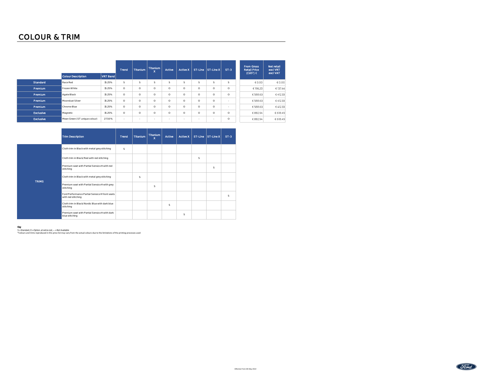|                  | <b>Colour Description</b>     | VRT Band | Trend   | <b>Titanium</b> | <b>Titanium</b><br>$\mathbf{x}$ | Active  | Active X | ST-Line                  | ST-Line X | $ST-3$   | <b>From Gross</b><br><b>Retail Price</b><br>$(GRP)$ $C$ | Net retail<br>excl VRT<br>excl VAT |
|------------------|-------------------------------|----------|---------|-----------------|---------------------------------|---------|----------|--------------------------|-----------|----------|---------------------------------------------------------|------------------------------------|
| Standard         | Race Red                      | 15.25%   | s       | s               | s                               | s       | s        | s                        | s         | s        | € 0.00                                                  | € 0.00                             |
| Premium          | Frozen White                  | 15.25%   | $\circ$ | $\circ$         | $\circ$                         | $\circ$ | $\circ$  | $\circ$                  | $\circ$   | $\Omega$ | € 196.20                                                | € 137.44                           |
| Premlum          | Agate Black                   | 15.25%   | $\circ$ | $\circ$         | $\circ$                         | $\circ$ | $\circ$  | $\circ$                  | $\circ$   | $\circ$  | € 588.63                                                | €412.33                            |
| Premium          | Moondust Silver               | 15.25%   | $\circ$ | $\circ$         | $\circ$                         | $\circ$ | $\circ$  | $\circ$                  | $\Omega$  | ۰        | € 588.63                                                | €412.33                            |
| Premium          | Chrome Blue                   | 15.25%   | $\circ$ | $\circ$         | $\circ$                         | $\circ$ | $\circ$  | $\bigcap$                | $\Omega$  | $\sim$   | € 588.63                                                | €412.33                            |
| <b>Exclusive</b> | Magnetic                      | 15.25%   | $\circ$ | $\circ$         | $\circ$                         | $\circ$ | $\circ$  | $\circ$                  | $\Omega$  | $\Omega$ | € 882.94                                                | € 618.49                           |
| <b>Exclusive</b> | Mean Green (ST unique colour) | 27.50%   |         | $\sim$          | <b>110</b>                      | ٠       | $\sim$   | $\overline{\phantom{a}}$ |           | $\circ$  | € 882.94                                                | € 618.49                           |

|              | <b>Trim Description</b>                                             | Trend | <b>Titanium</b> | <b>Titanium</b><br>x | Active | Active X |   | ST-Line ST-Line X | $ST-3$ |
|--------------|---------------------------------------------------------------------|-------|-----------------|----------------------|--------|----------|---|-------------------|--------|
|              | Cloth trim in Black with metal grey stitching                       | s     |                 |                      |        |          |   |                   |        |
|              | Cloth trim in Black/Red with red stitching                          |       |                 |                      |        |          | s |                   |        |
|              | Premium seat with Partial Sensico® with red<br>stitching            |       |                 |                      |        |          |   | s                 |        |
| <b>TRIMS</b> | Cloth trim in Black with metal grey stitching                       |       | s               |                      |        |          |   |                   |        |
|              | Premium seat with Partial Sensico® with grey<br>stitching           |       |                 | s                    |        |          |   |                   |        |
|              | Ford Performance Partial Sensico® front seats<br>with red stitching |       |                 |                      |        |          |   |                   | s      |
|              | Cloth trim in Black/Nordic Blue with dark blue<br>stitching         |       |                 |                      | s      |          |   |                   |        |
|              | Premium seat with Partial Sensico® with dark<br>blue stitching      |       |                 |                      |        | s        |   |                   |        |

**Key**<br>S = Standard, O = Option, at extra cost, — = Not Available<br>\*Colours and trims reproduced in this price list may vary from the actual colours due to the limitations of the printing processes used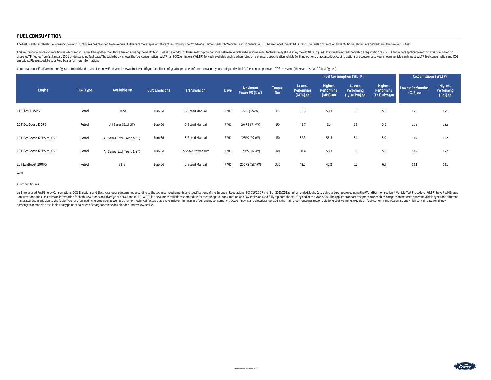### FUEL CONSUMPTION

The test used to establish fuel consumption and CO2 figures has changed to deliver results that are more representative of real driving. The Worldwide Harmonised Light Vehicle Test Procedure (WLTP) has replaced the old NED

This will produce more accurate figures which most likely will be greater than those arrived at using the NEDC test. Please be mindful of this in making comparisons between vehicles where some manufacturers may still displ these WLTP figures from 1st January 2021. Understanding fuel data; The table below shows the fuel consumption (WLTP) and CO2 emissions (WLTP) for each available engine when fitted on a standard specification vehicle (with emissions. Please speak to your Ford Dealer for more information.

You can also use Ford's online configurator to build and customise a new Ford vehicle: www.ford.ie/configurator. The configurator provides information about your configured vehicle's fuel consumption and CO2 emissions (the

|                          |                  |                              |                       |                    |              |                          |                     |                                    | Fuel Consumption (WLTP)          |                                     | Co2 Emissions (WLTP)                 |                                 |                                     |
|--------------------------|------------------|------------------------------|-----------------------|--------------------|--------------|--------------------------|---------------------|------------------------------------|----------------------------------|-------------------------------------|--------------------------------------|---------------------------------|-------------------------------------|
| Engine                   | <b>Fuel Type</b> | Available On                 | <b>Euro Emissions</b> | Transmission       | <b>Drive</b> | Maximum<br>Power PS (KW) | Torque<br><b>Nm</b> | Lowest<br>Performing<br>$(MPG)$ øø | Highest<br>Performing<br>(MPG)øø | Lowest<br>Performing<br>(L/100km)øø | Highest<br>Performing<br>(L/100km)øø | Lowest Performing<br>$(Co2)$ øø | Highest<br>Performing<br>$(Co2)$ øø |
| 1.1L Ti-VCT 75PS         | Petrol           | Trend                        | Euro 6d               | 5-Speed Manual     | <b>FWD</b>   | 75PS (55kW)              | 105                 | 53.3                               | 53.3                             | 5.3                                 | 5.3                                  | 120                             | 121                                 |
| 1.0T EcoBoost 100PS      | Petrol           | All Series (Excl ST)         | Euro 6d               | 6-Speed Manual     | <b>FWD</b>   | 100PS (74kW)             | 170                 | 48.7                               | 51.4                             | 5.8                                 | 5.5                                  | 125                             | 132                                 |
| 1.0T EcoBoost 125PS mHEV | Petrol           | All Series (Excl Trend & ST) | Euro 6d               | 6-Speed Manual     | <b>FWD</b>   | 125PS (92kW)             | 170                 | 52.3                               | 56.5                             | 5.4                                 | 5.0                                  | 114                             | 122                                 |
| 1.0T EcoBoost 125PS mHEV | Petrol           | All Series (Excl Trend & ST) | Euro 6d               | 7-Speed PowerShift | <b>FWD</b>   | 125PS (92kW)             | 170                 | 50.4                               | 53.3                             | 5.6                                 | 5.3                                  | 119                             | 127                                 |
| 1.5T EcoBoost 200PS      | Petrol           | $ST-3$                       | Euro 6d               | 6-Speed Manual     | <b>FWD</b>   | 200PS (147kW)            | 320                 | 42.2                               | 42.2                             | 6.7                                 | 6.7                                  | 151                             | 151                                 |

Notes

øFord test figures.

øø The declared Fuel/Energy Consumptions, CO2-Emissions and Electric range are determined according to the technical requirements and specifications of the European Regulations (EC) 715/2007 and (EU) 2017/1151 as last amen passenger car models is available at any point of sale free of charge or can be downloaded under www.seai.ie .

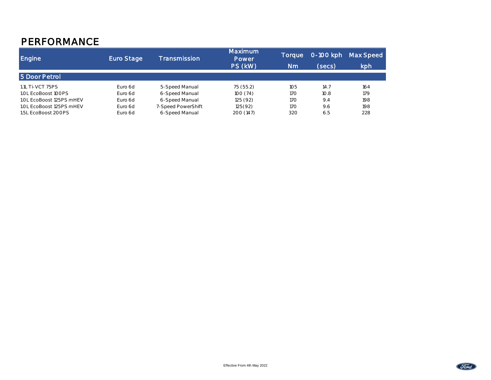# PERFORMANCE

| <b>Engine</b>            | Euro Stage | Transmission       | Maximum<br>Power | Toraue | 0-100 kph | Max Speed |
|--------------------------|------------|--------------------|------------------|--------|-----------|-----------|
|                          |            |                    | PS (kW)          | Nm     | (secs)    | kph       |
| 5 Door Petrol            |            |                    |                  |        |           |           |
| 1.1L Ti-VCT 75PS         | Euro 6d    | 5-Speed Manual     | 75(55.2)         | 105    | 14.7      | 164       |
| 1.0L EcoBoost 100PS      | Euro 6d    | 6-Speed Manual     | 100(74)          | 170    | 10.8      | 179       |
| 1.0L EcoBoost 125PS mHEV | Euro 6d    | 6-Speed Manual     | 125(92)          | 170    | 9.4       | 198       |
| 1.0L EcoBoost 125PS mHEV | Euro 6d    | 7-Speed PowerShift | 125(92)          | 17O    | 9.6       | 198       |
| 1.5L EcoBoost 200PS      | Euro 6d    | 6-Speed Manual     | 200 (147)        | 320    | 6.5       | 228       |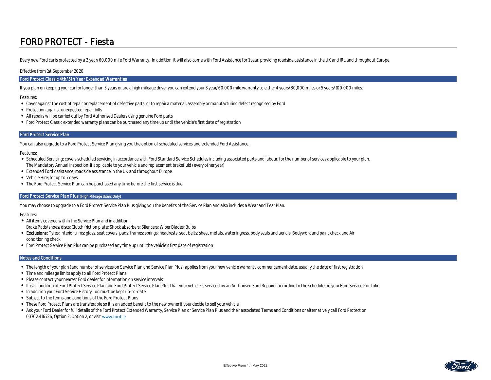# FORD PROTECT - Fiesta

Every new Ford car is protected by a 3 year/60,000 mile Ford Warranty. In addition, it will also come with Ford Assistance for 1 year, providing roadside assistance in the UK and IRL and throughout Europe.

#### Effective from 1st September 2020

#### Ford Protect Classic 4th/5th Year Extended Warranties

If you plan on keeping your car for longer than 3 years or are a high mileage driver you can extend your 3 year/60,000 mile warranty to either 4 years/80,000 miles or 5 years/100,000 miles.

Features:

- Cover against the cost of repair or replacement of defective parts, or to repair a material, assembly or manufacturing defect recognised by Ford
- Protection against unexpected repair bills
- All repairs will be carried out by Ford Authorised Dealers using genuine Ford parts
- Ford Protect Classic extended warranty plans can be purchased any time up until the vehicle's first date of registration

#### Ford Protect Service Plan

You can also upgrade to a Ford Protect Service Plan giving you the option of scheduled services and extended Ford Assistance.

Features:

- Scheduled Servicing; covers scheduled servicing in accordance with Ford Standard Service Schedules including associated parts and labour, for the number of services applicable to your plan. The Mandatory Annual Inspection, if applicable to your vehicle and replacement brakefluid (every other year)
- Extended Ford Assistance; roadside assistance in the UK and throughout Europe
- Vehicle Hire; for up to 7 days
- The Ford Protect Service Plan can be purchased any time before the first service is due

### Ford Protect Service Plan Plus (High Mileage Users Only)

You may choose to upgrade to a Ford Protect Service Plan Plus giving you the benefits of the Service Plan and also includes a Wear and Tear Plan.

Features:

- All items covered within the Service Plan and in addition: Brake Pads/shoes/discs; Clutch friction plate; Shock absorbers; Silencers; Wiper Blades; Bulbs
- 
- Exclusions: Tyres; Interior trims; glass, seat covers; pads; frames; springs; headrests, seat belts; sheet metals, water ingress, body seals and aerials. Bodywork and paint check and Air conditioning check.
- Ford Protect Service Plan Plus can be purchased any time up until the vehicle's first date of registration

### Notes and Conditions

- The length of your plan (and number of services on Service Plan and Service Plan Plus) applies from your new vehicle warranty commencement date, usually the date of first registration
- Time and mileage limits apply to all Ford Protect Plans
- Please contact your nearest Ford dealer for information on service intervals
- It is a condition of Ford Protect Service Plan and Ford Protect Service Plan Plus that your vehicle is serviced by an Authorised Ford Repairer according to the schedules in your Ford Service Portfolio
- In addition your Ford Service History Log must be kept up-to-date
- Subject to the terms and conditions of the Ford Protect Plans
- These Ford Protect Plans are transferable so it is an added benefit to the new owner if your decide to sell your vehicle
- Ask your Ford Dealer for full details of the Ford Protect Extended Warranty, Service Plan or Service Plan Plus and their associated Terms and Conditions or alternatively call Ford Protect on [03702 416726, Option 2, Option 2, or visit](http://www.ford.co.uk/) [www.ford.ie](http://www.ford.co.uk/)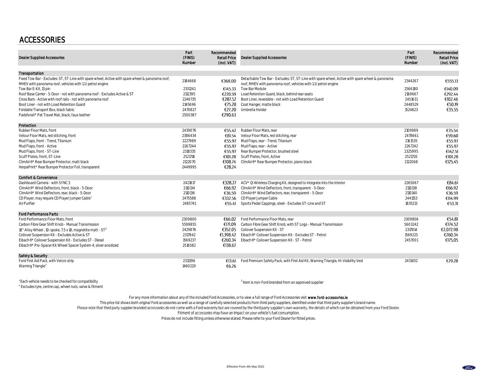# ACCESSORIES

| <b>Dealer Supplied Accessories</b>                                                                                                                             | Part<br>(FINIS)<br>Number | Recommended<br><b>Retail Price</b><br>(incl. VAT) | <b>Dealer Supplied Accessories</b>                                                                                                                                  | Part<br>(FINIS)<br>Number | Recommended<br><b>Retail Price</b><br>(incl. VAT) |
|----------------------------------------------------------------------------------------------------------------------------------------------------------------|---------------------------|---------------------------------------------------|---------------------------------------------------------------------------------------------------------------------------------------------------------------------|---------------------------|---------------------------------------------------|
| Transportation                                                                                                                                                 |                           |                                                   |                                                                                                                                                                     |                           |                                                   |
| Fixed Tow Bar - Excludes: ST, ST-Line with spare wheel, Active with spare wheel & panorama roof,<br>MHEV with panorama roof, vehicles with 1.1 I petrol engine | 2184668                   | €368.00                                           | Detachable Tow Bar - Excludes: ST, ST-Line with spare wheel, Active with spare wheel & panorama<br>roof, MHEV with panorama roof, vehicles with 1.1 I petrol engine | 2344267                   | €555.13                                           |
| Tow Bar E-Kit, 13 pin                                                                                                                                          | 2331241                   | €145.33                                           | Tow Bar Module                                                                                                                                                      | 2566180                   | €140.09                                           |
| Roof Base Carrier - 5-Door - not with panorama roof - Excludes Active & ST                                                                                     | 2112395                   | €220.59                                           | Load Retention Guard, black, behind rear seats                                                                                                                      | 2169667                   | €292.44                                           |
| Cross Bars - Active with roof rails - not with panorama roof                                                                                                   | 2246735                   | €287.52                                           | Boot Liner, reversible - not with Load Retention Guard                                                                                                              | 2451631                   | €102.46                                           |
| Boot Liner - not with Load Retention Guard                                                                                                                     | 2145696                   | €75.28                                            | Coat Hanger, matte black                                                                                                                                            | 2448529                   | €50.19                                            |
| Foldable Transport Box, black fabric                                                                                                                           | 2470827                   | €27.20                                            | Umbrella Holder                                                                                                                                                     | 1524823                   | €35.55                                            |
| Padsforall* Pet Travel Mat. black, faux leather                                                                                                                | 2500387                   | €290.63                                           |                                                                                                                                                                     |                           |                                                   |
| Protection                                                                                                                                                     |                           |                                                   |                                                                                                                                                                     |                           |                                                   |
| Rubber Floor Mats, front                                                                                                                                       | 2439076                   | €55.42                                            | Rubber Floor Mats, rear                                                                                                                                             | 2109989                   | €35.54                                            |
| Velour Floor Mats, red stitching, front                                                                                                                        | 2386434                   | €81.54                                            | Velour Floor Mats, red stitching, rear                                                                                                                              | 2478661                   | €59.60                                            |
| Mud Flaps, front - Trend, Titanium                                                                                                                             | 2227989                   | €55.97                                            | Mud Flaps, rear - Trend, Titanium                                                                                                                                   | 2161535                   | €55.97                                            |
| Mud Flaps, front - Active                                                                                                                                      | 2267244                   | €55.97                                            | Mud Flaps, rear - Active                                                                                                                                            | 2267242                   | €55.97                                            |
| Mud Flaps, front - ST-Line                                                                                                                                     | 2318335                   | €55.97                                            | Rear Bumper Protector, brushed steel                                                                                                                                | 2325995                   | €142.51                                           |
| Scuff Plates, front, ST-Line                                                                                                                                   | 2521716                   | €101.28                                           | Scuff Plates, front, Active                                                                                                                                         | 2521720                   | €101.28                                           |
| ClimAir®* Rear Bumper Protector, matt black                                                                                                                    | 2122070                   | €108.74                                           | ClimAir®* Rear Bumper Protector, piano black                                                                                                                        | 2122068                   | €125.45                                           |
| HerpaPrint* Rear Bumper Protector Foil, transparent                                                                                                            | 2449995                   | €28.24                                            |                                                                                                                                                                     |                           |                                                   |
| <b>Comfort &amp; Convenience</b>                                                                                                                               |                           |                                                   |                                                                                                                                                                     |                           |                                                   |
| Dashboard Camera - with SYNC 3                                                                                                                                 | 2421817                   |                                                   | €328.27 ACV* Qi Wireless Charging Kit, designed to integrate into the interior                                                                                      | 2265067                   | €84.61                                            |
| ClimAir®* Wind Deflectors, front, black - 5-Door                                                                                                               | 2110134                   |                                                   | €66.92 ClimAir®* Wind Deflectors, front, transparent - 5-Door                                                                                                       | 2110138                   | €66.92                                            |
| ClimAir®* Wind Deflectors, rear, black - 5-Door                                                                                                                | 2110136                   | €36.59                                            | ClimAir®* Wind Deflectors, rear, transparent - 5-Door                                                                                                               | 2110140                   | €36.59                                            |
| CD Player, may require CD Player Jumper Cable                                                                                                                  | 2475588                   | €332.56                                           | CD Player Jumper Cable                                                                                                                                              | 2441153                   | €114.99                                           |
| Air Purifier                                                                                                                                                   | 2485741                   | €55.41                                            | Sports Pedal Cappings, steel - Excludes ST-Line and ST                                                                                                              | 1835213                   | €53.31                                            |
| <b>Ford Performance Parts</b>                                                                                                                                  |                           |                                                   |                                                                                                                                                                     |                           |                                                   |
| Ford Performance Floor Mats, front                                                                                                                             | 2309800                   | €66.02                                            | Ford Performance Floor Mats, rear                                                                                                                                   | 2309806                   | €54.81                                            |
| Carbon Fibre Gear Shift Knob - Manual Transmission                                                                                                             | 5599855                   | €171.09                                           | Carbon Fibre Gear Shift Knob, with ST Logo - Manual Transmission                                                                                                    | 5603242                   | €174.52                                           |
| 18" Alloy Wheel, 10-spoke, 7.5 x 18, magnetite matt - ST <sup>2</sup>                                                                                          | 2429876                   | €352.05                                           | Coilover Suspension Kit - ST                                                                                                                                        | 2317814                   | €2,072.98                                         |
| Coilover Suspension Kit - Excludes Active & ST                                                                                                                 | 2317842                   | €1.398.42                                         | Eibach®* Coilover Suspension Kit - Excludes ST - Petrol                                                                                                             | 1569225                   | €260.34                                           |
| Eibach®* Coilover Suspension Kit - Excludes ST - Diesel                                                                                                        | 1569237                   | €260.34                                           | Eibach®* Coilover Suspension Kit - ST - Petrol                                                                                                                      | 2457001                   | €175.05                                           |
| Eibach®* Pro-Spacer Kit Wheel Spacer System 4, silver anodized                                                                                                 | 2516582                   | €138.67                                           |                                                                                                                                                                     |                           |                                                   |
| Safety & Security                                                                                                                                              |                           |                                                   |                                                                                                                                                                     |                           |                                                   |
| Ford First Aid Pack, with Velcro strip                                                                                                                         | 2311396                   | €13.61                                            | Ford Premium Safety Pack, with First Aid Kit, Warning Triangle, Hi-Visibility Vest                                                                                  | 2431452                   | €29.28                                            |
| Warning Triangle <sup>3</sup>                                                                                                                                  | 1460220                   | €6.26                                             |                                                                                                                                                                     |                           |                                                   |
|                                                                                                                                                                |                           |                                                   |                                                                                                                                                                     |                           |                                                   |

<sup>1</sup> Each vehicle needs to be checked for compatibility <sup>3</sup>

 $3$  Item is non-Ford branded from an approved supplier

 $2^{2}$  Excludes tyre, centre cap, wheel nuts, valve & fitment

For any more information about any of the included Ford Accessories, or to view a full range of Ford Accessories visit www.ford-accessories.le

This price list shows both original Ford accessories as well as a range of carefully selected products from third party suppliers, identified under that third party supplier's brand name.<br>Please note that third party suppl

Fitment of accessories may have an impact on your vehicle's fuel consumption.

Prices do not include fitting unless otherwise stated. Please refer to your Ford Dealer for fitted prices.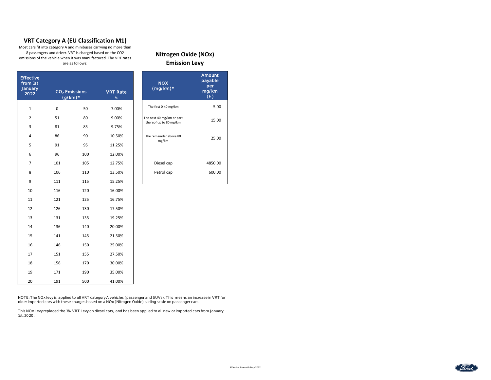## **VRT Category A (EU Classification M1)**

Most cars fit into category A and minibuses carrying no more than 8 passengers and driver. VRT is charged based on the CO2 emissions of the vehicle when it was manufactured. The VRT rates are as follows:

| <b>Effective</b><br>from 1st<br>January<br>2022 |             | CO <sub>2</sub> Emissions<br>$(g/km)^*$ | <b>VRT Rate</b><br>€ | <b>NOX</b><br>$(mg/km)$ * | Amount<br>payable<br>per<br>mg/km<br>$(\epsilon)$ |
|-------------------------------------------------|-------------|-----------------------------------------|----------------------|---------------------------|---------------------------------------------------|
| $\mathbf 1$                                     | $\mathbf 0$ | 50                                      | 7.00%                | The first 0-40 mg/km      | 5.00                                              |
| $\overline{2}$                                  | 51          | 80                                      | 9.00%                | The next 40 mg/km or part | 15.00                                             |
| 3                                               | 81          | 85                                      | 9.75%                | thereof up to 80 mg/km    |                                                   |
| $\overline{4}$                                  | 86          | 90                                      | 10.50%               | The remainder above 80    | 25.00                                             |
| 5                                               | 91          | 95                                      | 11.25%               | mg/km                     |                                                   |
| 6                                               | 96          | 100                                     | 12.00%               |                           |                                                   |
| $\overline{7}$                                  | 101         | 105                                     | 12.75%               | Diesel cap                | 4850.00                                           |
| 8                                               | 106         | 110                                     | 13.50%               | Petrol cap                | 600.00                                            |
| 9                                               | 111         | 115                                     | 15.25%               |                           |                                                   |
| 10                                              | 116         | 120                                     | 16.00%               |                           |                                                   |
| 11                                              | 121         | 125                                     | 16.75%               |                           |                                                   |
| 12                                              | 126         | 130                                     | 17.50%               |                           |                                                   |
| 13                                              | 131         | 135                                     | 19.25%               |                           |                                                   |
| 14                                              | 136         | 140                                     | 20.00%               |                           |                                                   |
| 15                                              | 141         | 145                                     | 21.50%               |                           |                                                   |
| 16                                              | 146         | 150                                     | 25.00%               |                           |                                                   |
| 17                                              | 151         | 155                                     | 27.50%               |                           |                                                   |
| 18                                              | 156         | 170                                     | 30.00%               |                           |                                                   |
| 19                                              | 171         | 190                                     | 35.00%               |                           |                                                   |
| 20                                              | 191         | 500                                     | 41.00%               |                           |                                                   |

**Nitrogen Oxide (NOx) Emission Levy**

NOTE: The NOx levy is applied to all VRT category A vehicles (passenger and SUVs). This means an increase in VRT for older imported cars with these charges based on a NOx (Nitrogen Oxide) sliding scale on passenger cars.

This NOx Levy replaced the 1% VRT Levy on diesel cars, and has been applied to all new or imported cars from January 1st, 2020.